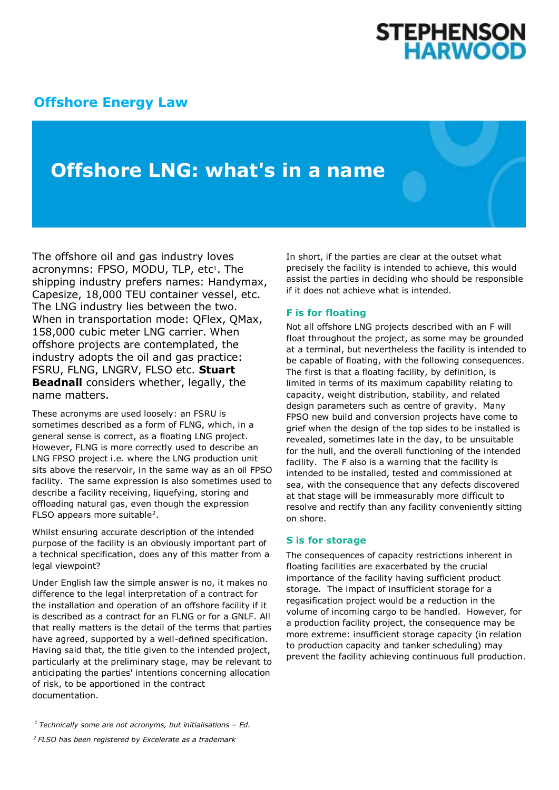# **[Offshore Energy Law](http://www.offshoreenergylaw.com/)**

**Offshore LNG: what's in a name**

The offshore oil and gas industry loves acronymns: FPSO, MODU, TLP, etc<sup>1</sup>. The shipping industry prefers names: Handymax, Capesize, 18,000 TEU container vessel, etc. The LNG industry lies between the two. When in transportation mode: QFlex, QMax, 158,000 cubic meter LNG carrier. When offshore projects are contemplated, the industry adopts the oil and gas practice: FSRU, FLNG, LNGRV, FLSO etc. **Stuart Beadnall** considers whether, legally, the name matters.

These acronyms are used loosely: an FSRU is sometimes described as a form of FLNG, which, in a general sense is correct, as a floating LNG project. However, FLNG is more correctly used to describe an LNG FPSO project i.e. where the LNG production unit sits above the reservoir, in the same way as an oil FPSO facility. The same expression is also sometimes used to describe a facility receiving, liquefying, storing and offloading natural gas, even though the expression FLSO appears more suitable<sup>2</sup>.

Whilst ensuring accurate description of the intended purpose of the facility is an obviously important part of a technical specification, does any of this matter from a legal viewpoint?

Under English law the simple answer is no, it makes no difference to the legal interpretation of a contract for the installation and operation of an offshore facility if it is described as a contract for an FLNG or for a GNLF. All that really matters is the detail of the terms that parties have agreed, supported by a well-defined specification. Having said that, the title given to the intended project, particularly at the preliminary stage, may be relevant to anticipating the parties' intentions concerning allocation of risk, to be apportioned in the contract documentation.

**STEPHENSON<br>HARWOOD** 

#### **F is for floating**

Not all offshore LNG projects described with an F will float throughout the project, as some may be grounded at a terminal, but nevertheless the facility is intended to be capable of floating, with the following consequences. The first is that a floating facility, by definition, is limited in terms of its maximum capability relating to capacity, weight distribution, stability, and related design parameters such as centre of gravity. Many FPSO new build and conversion projects have come to grief when the design of the top sides to be installed is revealed, sometimes late in the day, to be unsuitable for the hull, and the overall functioning of the intended facility. The F also is a warning that the facility is intended to be installed, tested and commissioned at sea, with the consequence that any defects discovered at that stage will be immeasurably more difficult to resolve and rectify than any facility conveniently sitting on shore.

#### **S is for storage**

The consequences of capacity restrictions inherent in floating facilities are exacerbated by the crucial importance of the facility having sufficient product storage. The impact of insufficient storage for a regasification project would be a reduction in the volume of incoming cargo to be handled. However, for a production facility project, the consequence may be more extreme: insufficient storage capacity (in relation to production capacity and tanker scheduling) may prevent the facility achieving continuous full production.

In short, if the parties are clear at the outset what precisely the facility is intended to achieve, this would assist the parties in deciding who should be responsible if it does not achieve what is intended.

*<sup>1</sup>Technically some are not acronyms, but initialisations – Ed.*

*<sup>2</sup>FLSO has been registered by Excelerate as a trademark*